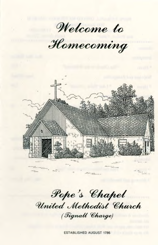Welcome to

Homecoming



Pope's Chapel United Methodist Church (Tignall Charge)

**ESTABLISHED AUGUST 1786**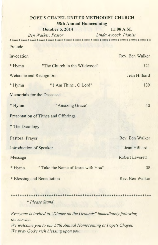# **POPE'S CHAPEL UNITED METHODIST CHURCH 58th Annual Homecoming**

**October 5, 2014** 11:00 A.M.

*Ben Walker*, *Pastor Linda Aycock, Pianist*

| Prelude |  |  |  |  |
|---------|--|--|--|--|
|         |  |  |  |  |

| Invocation                           |                                                                                                                 | Rev. Ben Walker |  |  |  |  |
|--------------------------------------|-----------------------------------------------------------------------------------------------------------------|-----------------|--|--|--|--|
| * Hymn                               | "The Church in the Wildwood"                                                                                    | 121             |  |  |  |  |
| Welcome and Recognition              | Jean Hilliard                                                                                                   |                 |  |  |  |  |
| * Hymn                               | "I Am Thine, O Lord"                                                                                            | 139             |  |  |  |  |
| Memorials for the Deceased           |                                                                                                                 |                 |  |  |  |  |
| * Hymn                               | "Amazing Grace"                                                                                                 | 43              |  |  |  |  |
| Presentation of Tithes and Offerings |                                                                                                                 |                 |  |  |  |  |
| * The Doxology                       |                                                                                                                 |                 |  |  |  |  |
| Pastoral Prayer                      |                                                                                                                 | Rev. Ben Walker |  |  |  |  |
| Introduction of Speaker              | Jean Hilliard                                                                                                   |                 |  |  |  |  |
| Message                              |                                                                                                                 | Robert Leverett |  |  |  |  |
| * Hymn                               | " Take the Name of Jesus with You"                                                                              | 38              |  |  |  |  |
| * Blessing and Benediction           | Rev. Ben Walker                                                                                                 |                 |  |  |  |  |
|                                      | and a second control of the second control of the second control of the second control of the second control of |                 |  |  |  |  |

\* *Please Stand*

*Everyone is invited to "Dinner on the Grounds" immediately following the service. We welcome you to our 58th Annual Homecoming at Pope's Chapel. We pray God's rich blessing upon you*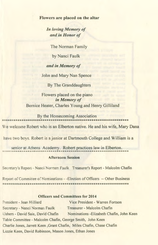### **Flowers are placed on the altar**

*In loving Memory of and in Honor of*

The Norman Family

by Nanci Faulk

### *and in Memory of*

John and Mary Nan Spence

By The Granddaughters

## Flowers placed on the piano *in Memory of* Bernice Heater, Charles Young and Henry Gilliland

By the Homecoming Association

We welcome Robert who is an Elberton native. He and his wife, Mary Dana

have two boys. Robert is a junior at Dartmouth College and William is a

senior at Athens Academy. Robert practices law in Elberton.

### Afternoon Session

Secretary's Report - Nanci Norman Faulk Treasurer's Report - Malcolm Chafin

Report of Committee of Nominations - - Election of Officers -- Other Business

### Officers and Committees for 2014

President - Jean Hilliard Vice President - Warren Fortson Secretary - Nanci Norman Faulk Treasurer - Malcolm Chafin Ushers - David Sale, David Chafin Nominations -Elizabeth Chafin, John Keen Table Committee - Malcolm Chafin, George Smith, John Keen Charlie Jones, Jarrett Keen, Grant Chafin, Miles Chafin, Chase Chafin Lizzie Keen, David Robinson, Mason Jones, Ethan Jones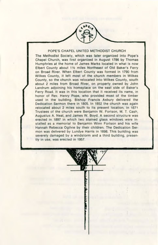#### POPE'S CHAPEL UNITED METHODIST CHURCH

The Methodist Society, which was later organized into Pope's Chapel Church, was first organized in August 1786 by Thomas Humphries at the home of James Marks located in what is now Elbert County about 11/2 miles Northeast of Old Baker's Ferry on Broad River. When Elbert County was formed in 1790 from Wilkes County, it left most of the church members in Wilkes County, so the church was relocated into Wilkes County, south about 2 miles from Broad River, on property owned by John Landrum adjoining his homeplace on the east side of Baker's Ferry Road. It was in this location that it received its name, in honor of Rev. Henry Pope, who provided most of the timber used in the building. Bishop Francis Asbury delivered the Dedication Sermon there in 1805. In 1852 the church was again relocated about 2 miles south to its present location, in 1871 Trustees of the church were Benjamin W. Fortson, M. T. Cash, Augustus A. Neal, and James W. Boyd. A second structure was erected in 1897 in which two stained glass windows were installed as a memorial to Benjamin Winn Fortson and his wife Hannah Rebecca Ogilvie by their children. The Dedication Sermon was delivered by Lundye Harris in 1898. This building was severely damaged by a windstorm and a third building, presently in use, was erected in 1957.